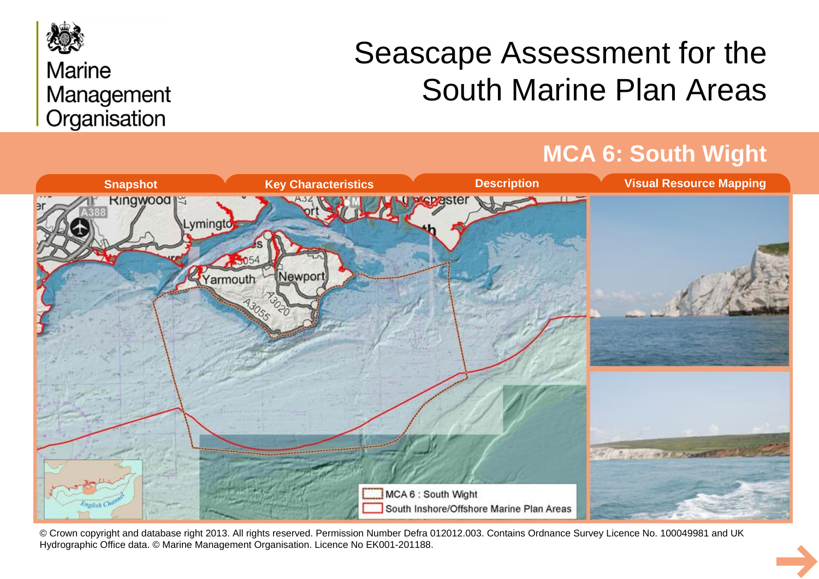

## **Marine** Management Organisation

# Seascape Assessment for the South Marine Plan Areas

## **MCA 6: South Wight**



© Crown copyright and database right 2013. All rights reserved. Permission Number Defra 012012.003. Contains Ordnance Survey Licence No. 100049981 and UK Hydrographic Office data. © Marine Management Organisation. Licence No EK001-201188.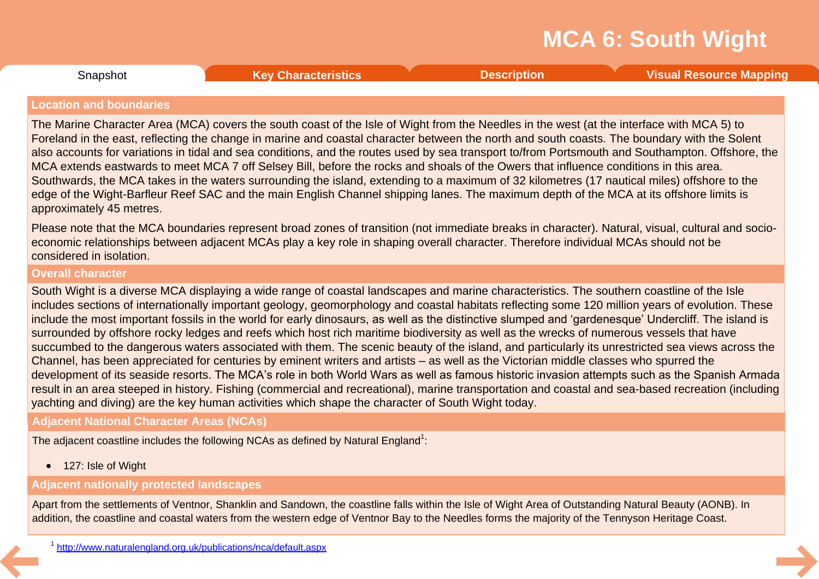**Snapshot** 

### <span id="page-1-0"></span>**Location and boundaries**

The Marine Character Area (MCA) covers the south coast of the Isle of Wight from the Needles in the west (at the interface with MCA 5) to Foreland in the east, reflecting the change in marine and coastal character between the north and south coasts. The boundary with the Solent also accounts for variations in tidal and sea conditions, and the routes used by sea transport to/from Portsmouth and Southampton. Offshore, the MCA extends eastwards to meet MCA 7 off Selsey Bill, before the rocks and shoals of the Owers that influence conditions in this area. Southwards, the MCA takes in the waters surrounding the island, extending to a maximum of 32 kilometres (17 nautical miles) offshore to the edge of the Wight-Barfleur Reef SAC and the main English Channel shipping lanes. The maximum depth of the MCA at its offshore limits is approximately 45 metres.

Please note that the MCA boundaries represent broad zones of transition (not immediate breaks in character). Natural, visual, cultural and socio economic relationships between adjacent MCAs play a key role in shaping overall character. Therefore individual MCAs should not be considered in isolation.

### **Overall character**

South Wight is a diverse MCA displaying a wide range of coastal landscapes and marine characteristics. The southern coastline of the Isle includes sections of internationally important geology, geomorphology and coastal habitats reflecting some 120 million years of evolution. These include the most important fossils in the world for early dinosaurs, as well as the distinctive slumped and 'gardenesque' Undercliff. The island is surrounded by offshore rocky ledges and reefs which host rich maritime biodiversity as well as the wrecks of numerous vessels that have succumbed to the dangerous waters associated with them. The scenic beauty of the island, and particularly its unrestricted sea views across the Channel, has been appreciated for centuries by eminent writers and artists – as well as the Victorian middle classes who spurred the development of its seaside resorts. The MCA's role in both World Wars as well as famous historic invasion attempts such as the Spanish Armada result in an area steeped in history. Fishing (commercial and recreational), marine transportation and coastal and sea-based recreation (including yachting and diving) are the key human activities which shape the character of South Wight today.

### **Adjacent National Character Areas (NCAs)**

The adjacent coastline includes the following NCAs as defined by Natural England<sup>1</sup>:

· 127: Isle of Wight

### **Adjacent nationally protected landscapes**

Apart from the settlements of Ventnor, Shanklin and Sandown, the coastline falls within the Isle of Wight Area of Outstanding Natural Beauty (AONB). In addition, the coastline and coastal waters from the western edge of Ventnor Bay to the Needles forms the majority of the Tennyson Heritage Coast.

Snapshot **Key [Characteristics](#page-2-0) [Description](#page-3-0) Visual [Resource](#page-8-0) Mapping**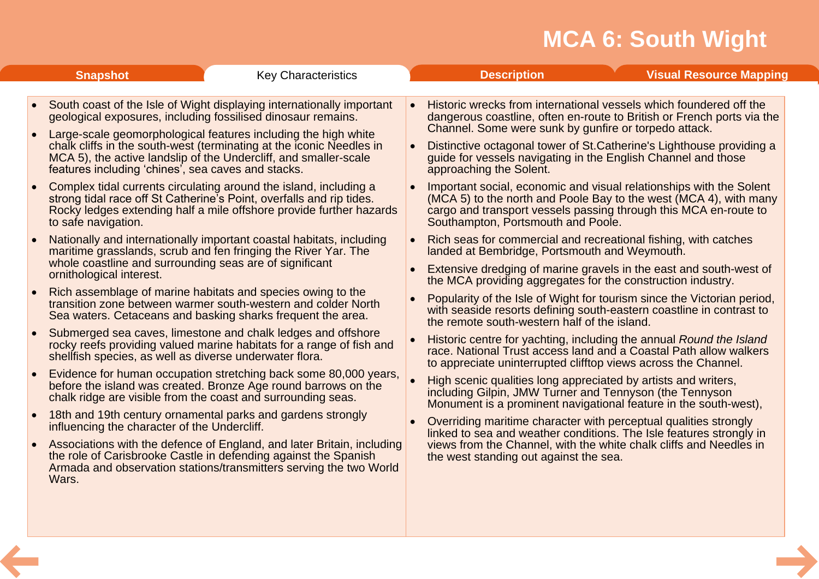<span id="page-2-0"></span>

| <b>Snapshot</b>                                                                     | <b>Key Characteristics</b>                                                                                                                                                                                                                                                                                                                                                                                |           | <b>Description</b>                                                                                                                                                                                                                                                                                                                                                         | <b>Visual Resource Mapping</b>                                                                                                          |
|-------------------------------------------------------------------------------------|-----------------------------------------------------------------------------------------------------------------------------------------------------------------------------------------------------------------------------------------------------------------------------------------------------------------------------------------------------------------------------------------------------------|-----------|----------------------------------------------------------------------------------------------------------------------------------------------------------------------------------------------------------------------------------------------------------------------------------------------------------------------------------------------------------------------------|-----------------------------------------------------------------------------------------------------------------------------------------|
|                                                                                     | South coast of the Isle of Wight displaying internationally important<br>geological exposures, including fossilised dinosaur remains.<br>Large-scale geomorphological features including the high white<br>chalk cliffs in the south-west (terminating at the iconic Needles in<br>MCA 5), the active landslip of the Undercliff, and smaller-scale<br>features including 'chines', sea caves and stacks. |           | Historic wrecks from international vessels which foundered off the<br>dangerous coastline, often en-route to British or French ports via the<br>Channel. Some were sunk by gunfire or torpedo attack.<br>Distinctive octagonal tower of St. Catherine's Lighthouse providing a<br>guide for vessels navigating in the English Channel and those<br>approaching the Solent. |                                                                                                                                         |
| to safe navigation.                                                                 | Complex tidal currents circulating around the island, including a<br>strong tidal race off St Catherine's Point, overfalls and rip tides.<br>Rocky ledges extending half a mile offshore provide further hazards                                                                                                                                                                                          |           | Important social, economic and visual relationships with the Solent<br>(MCA 5) to the north and Poole Bay to the west (MCA 4), with many<br>cargo and transport vessels passing through this MCA en-route to<br>Southampton, Portsmouth and Poole.                                                                                                                         |                                                                                                                                         |
| whole coastline and surrounding seas are of significant<br>ornithological interest. | Nationally and internationally important coastal habitats, including<br>maritime grasslands, scrub and fen fringing the River Yar. The                                                                                                                                                                                                                                                                    |           | Rich seas for commercial and recreational fishing, with catches<br>landed at Bembridge, Portsmouth and Weymouth.<br>Extensive dredging of marine gravels in the east and south-west of                                                                                                                                                                                     |                                                                                                                                         |
|                                                                                     | Rich assemblage of marine habitats and species owing to the<br>transition zone between warmer south-western and colder North<br>Sea waters. Cetaceans and basking sharks frequent the area.                                                                                                                                                                                                               |           | the MCA providing aggregates for the construction industry.<br>Popularity of the Isle of Wight for tourism since the Victorian period,<br>with seaside resorts defining south-eastern coastline in contrast to<br>the remote south-western half of the island.                                                                                                             |                                                                                                                                         |
| shellfish species, as well as diverse underwater flora.                             | Submerged sea caves, limestone and chalk ledges and offshore<br>rocky reefs providing valued marine habitats for a range of fish and                                                                                                                                                                                                                                                                      |           | Historic centre for yachting, including the annual Round the Island<br>race. National Trust access land and a Coastal Path allow walkers<br>to appreciate uninterrupted clifftop views across the Channel.                                                                                                                                                                 |                                                                                                                                         |
|                                                                                     | Evidence for human occupation stretching back some 80,000 years,<br>before the island was created. Bronze Age round barrows on the<br>chalk ridge are visible from the coast and surrounding seas.                                                                                                                                                                                                        | $\bullet$ | High scenic qualities long appreciated by artists and writers,<br>including Gilpin, JMW Turner and Tennyson (the Tennyson<br>Monument is a prominent navigational feature in the south-west),                                                                                                                                                                              |                                                                                                                                         |
|                                                                                     | 18th and 19th century ornamental parks and gardens strongly<br>influencing the character of the Undercliff.                                                                                                                                                                                                                                                                                               |           |                                                                                                                                                                                                                                                                                                                                                                            | Overriding maritime character with perceptual qualities strongly<br>linked to sea and weather conditions. The Isle features strongly in |
| $\bullet$<br>Wars.                                                                  | Associations with the defence of England, and later Britain, including<br>the role of Carisbrooke Castle in defending against the Spanish<br>Armada and observation stations/transmitters serving the two World                                                                                                                                                                                           |           | views from the Channel, with the white chalk cliffs and Needles in<br>the west standing out against the sea.                                                                                                                                                                                                                                                               |                                                                                                                                         |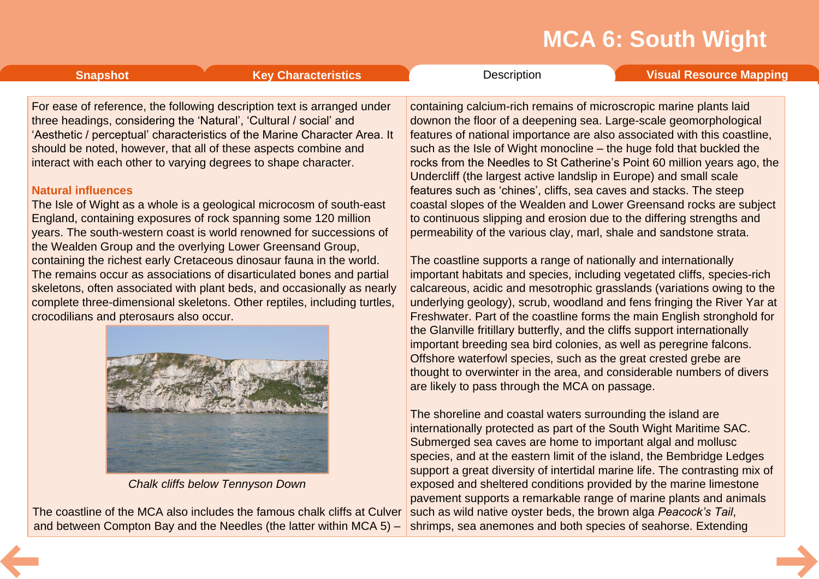<span id="page-3-0"></span>**[Snapshot](#page-1-0) Key [Characteristics](#page-2-0) [Description](#page-3-0) Visual [Resource](#page-8-0) Mapping** 

For ease of reference, the following description text is arranged under three headings, considering the 'Natural', 'Cultural / social' and 'Aesthetic / perceptual' characteristics of the Marine Character Area. It should be noted, however, that all of these aspects combine and interact with each other to varying degrees to shape character.

### **Natural influences**

The Isle of Wight as a whole is a geological microcosm of south-east England, containing exposures of rock spanning some 120 million years. The south-western coast is world renowned for successions of the Wealden Group and the overlying Lower Greensand Group, containing the richest early Cretaceous dinosaur fauna in the world. The remains occur as associations of disarticulated bones and partial skeletons, often associated with plant beds, and occasionally as nearly complete three-dimensional skeletons. Other reptiles, including turtles, crocodilians and pterosaurs also occur.



*Chalk cliffs below Tennyson Down*

The coastline of the MCA also includes the famous chalk cliffs at Culver and between Compton Bay and the Needles (the latter within MCA 5) –

containing calcium-rich remains of microscropic marine plants laid downon the floor of a deepening sea. Large-scale geomorphological features of national importance are also associated with this coastline, such as the Isle of Wight monocline – the huge fold that buckled the rocks from the Needles to St Catherine's Point 60 million years ago, the Undercliff (the largest active landslip in Europe) and small scale features such as 'chines', cliffs, sea caves and stacks. The steep coastal slopes of the Wealden and Lower Greensand rocks are subject to continuous slipping and erosion due to the differing strengths and permeability of the various clay, marl, shale and sandstone strata.

The coastline supports a range of nationally and internationally important habitats and species, including vegetated cliffs, species-rich calcareous, acidic and mesotrophic grasslands (variations owing to the underlying geology), scrub, woodland and fens fringing the River Yar at Freshwater. Part of the coastline forms the main English stronghold for the Glanville fritillary butterfly, and the cliffs support internationally important breeding sea bird colonies, as well as peregrine falcons. Offshore waterfowl species, such as the great crested grebe are thought to overwinter in the area, and considerable numbers of divers are likely to pass through the MCA on passage.

The shoreline and coastal waters surrounding the island are internationally protected as part of the South Wight Maritime SAC. Submerged sea caves are home to important algal and mollusc species, and at the eastern limit of the island, the Bembridge Ledges support a great diversity of intertidal marine life. The contrasting mix of exposed and sheltered conditions provided by the marine limestone pavement supports a remarkable range of marine plants and animals such as wild native oyster beds, the brown alga *Peacock's Tail*, shrimps, sea anemones and both species of seahorse. Extending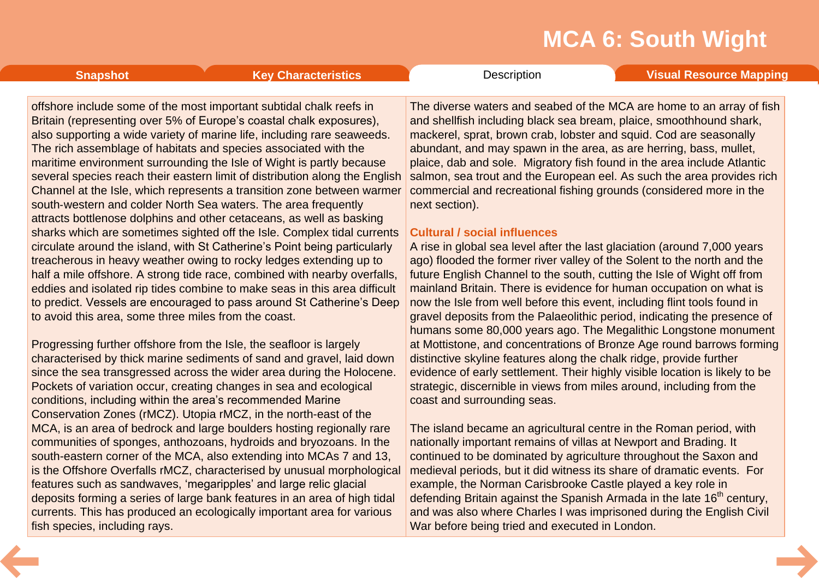offshore include some of the most important subtidal chalk reefs in Britain (representing over 5% of Europe's coastal chalk exposures), also supporting a wide variety of marine life, including rare seaweeds. The rich assemblage of habitats and species associated with the maritime environment surrounding the Isle of Wight is partly because several species reach their eastern limit of distribution along the English Channel at the Isle, which represents a transition zone between warmer south-western and colder North Sea waters. The area frequently attracts bottlenose dolphins and other cetaceans, as well as basking sharks which are sometimes sighted off the Isle. Complex tidal currents circulate around the island, with St Catherine's Point being particularly treacherous in heavy weather owing to rocky ledges extending up to half a mile offshore. A strong tide race, combined with nearby overfalls, eddies and isolated rip tides combine to make seas in this area difficult to predict. Vessels are encouraged to pass around St Catherine's Deep to avoid this area, some three miles from the coast.

Progressing further offshore from the Isle, the seafloor is largely characterised by thick marine sediments of sand and gravel, laid down since the sea transgressed across the wider area during the Holocene. Pockets of variation occur, creating changes in sea and ecological conditions, including within the area's recommended Marine Conservation Zones (rMCZ). Utopia rMCZ, in the north-east of the MCA, is an area of bedrock and large boulders hosting regionally rare communities of sponges, anthozoans, hydroids and bryozoans. In the south-eastern corner of the MCA, also extending into MCAs 7 and 13, is the Offshore Overfalls rMCZ, characterised by unusual morphological features such as sandwaves, 'megaripples' and large relic glacial deposits forming a series of large bank features in an area of high tidal currents. This has produced an ecologically important area for various fish species, including rays.

The diverse waters and seabed of the MCA are home to an array of fish and shellfish including black sea bream, plaice, smoothhound shark, mackerel, sprat, brown crab, lobster and squid. Cod are seasonally abundant, and may spawn in the area, as are herring, bass, mullet, plaice, dab and sole. Migratory fish found in the area include Atlantic salmon, sea trout and the European eel. As such the area provides rich commercial and recreational fishing grounds (considered more in the next section).

### **Cultural / social influences**

A rise in global sea level after the last glaciation (around 7,000 years ago) flooded the former river valley of the Solent to the north and the future English Channel to the south, cutting the Isle of Wight off from mainland Britain. There is evidence for human occupation on what is now the Isle from well before this event, including flint tools found in gravel deposits from the Palaeolithic period, indicating the presence of humans some 80,000 years ago. The Megalithic Longstone monument at Mottistone, and concentrations of Bronze Age round barrows forming distinctive skyline features along the chalk ridge, provide further evidence of early settlement. Their highly visible location is likely to be strategic, discernible in views from miles around, including from the coast and surrounding seas.

The island became an agricultural centre in the Roman period, with nationally important remains of villas at Newport and Brading. It continued to be dominated by agriculture throughout the Saxon and medieval periods, but it did witness its share of dramatic events. For example, the Norman Carisbrooke Castle played a key role in defending Britain against the Spanish Armada in the late  $16<sup>th</sup>$  century, and was also where Charles I was imprisoned during the English Civil War before being tried and executed in London.

**[Snapshot](#page-1-0) Key [Characteristics](#page-2-0) [Description](#page-3-0) Visual [Resource](#page-8-0) Mapping**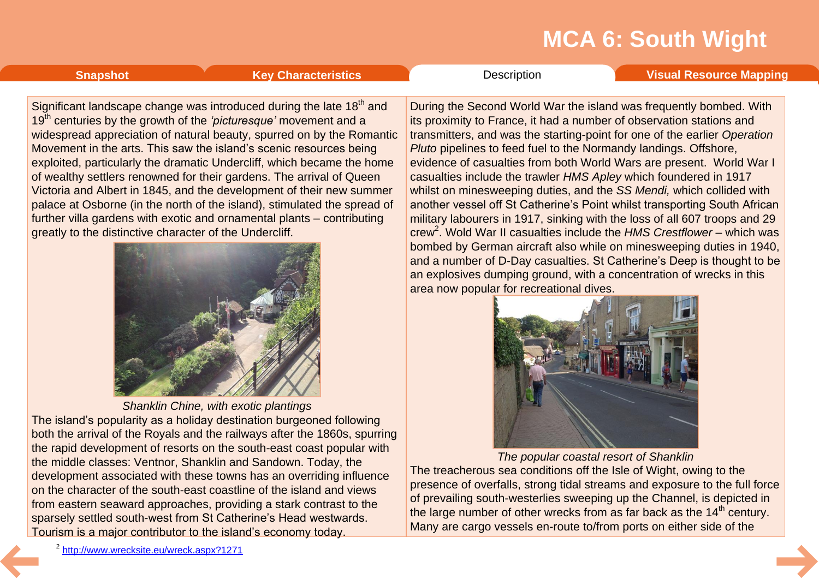**[Snapshot](#page-1-0) Key [Characteristics](#page-2-0) Visual [Resource](#page-8-0) Mapping Characteristics Visual Visual Resource Mapping** 

Significant landscape change was introduced during the late 18<sup>th</sup> and 19<sup>th</sup> centuries by the growth of the *'picturesque'* movement and a widespread appreciation of natural beauty, spurred on by the Romantic Movement in the arts. This saw the island's scenic resources being exploited, particularly the dramatic Undercliff, which became the home of wealthy settlers renowned for their gardens. The arrival of Queen Victoria and Albert in 1845, and the development of their new summer palace at Osborne (in the north of the island), stimulated the spread of further villa gardens with exotic and ornamental plants – contributing greatly to the distinctive character of the Undercliff.



*Shanklin Chine, with exotic plantings* The island's popularity as a holiday destination burgeoned following both the arrival of the Royals and the railways after the 1860s, spurring the rapid development of resorts on the south-east coast popular with the middle classes: Ventnor, Shanklin and Sandown. Today, the development associated with these towns has an overriding influence on the character of the south-east coastline of the island and views from eastern seaward approaches, providing a stark contrast to the sparsely settled south-west from St Catherine's Head westwards. Tourism is a major contributor to the island's economy today.

During the Second World War the island was frequently bombed. With its proximity to France, it had a number of observation stations and transmitters, and was the starting-point for one of the earlier *Operation Pluto* pipelines to feed fuel to the Normandy landings. Offshore, evidence of casualties from both World Wars are present. World War I casualties include the trawler *HMS Apley* which foundered in 1917 whilst on minesweeping duties, and the *SS Mendi,* which collided with another vessel off St Catherine's Point whilst transporting South African military labourers in 1917, sinking with the loss of all 607 troops and 29 crew<sup>2</sup>. Wold War II casualties include the HMS Crestflower - which was bombed by German aircraft also while on minesweeping duties in 1940, and a number of D-Day casualties. St Catherine's Deep is thought to be an explosives dumping ground, with a concentration of wrecks in this area now popular for recreational dives.



*The popular coastal resort of Shanklin*

The treacherous sea conditions off the Isle of Wight, owing to the presence of overfalls, strong tidal streams and exposure to the full force of prevailing south-westerlies sweeping up the Channel, is depicted in the large number of other wrecks from as far back as the  $14<sup>th</sup>$  century. Many are cargo vessels en-route to/from ports on either side of the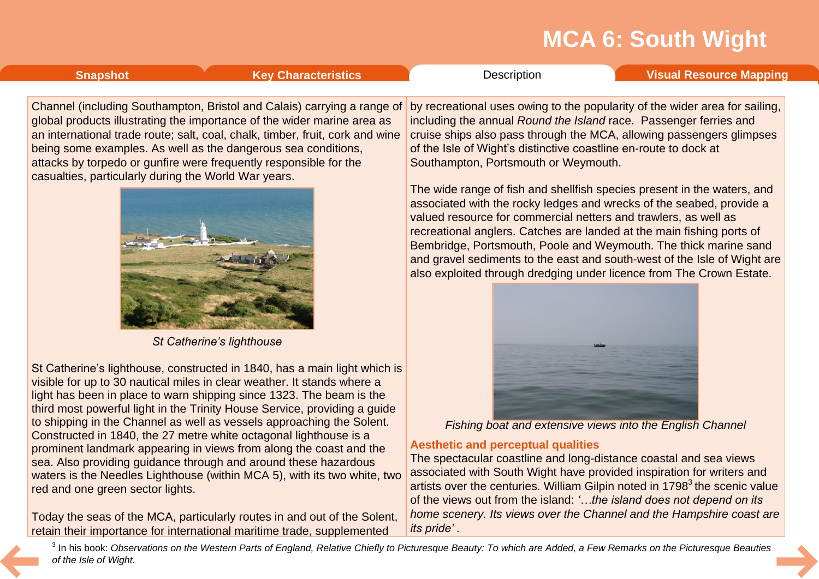# **[Snapshot](#page-1-0) Key [Characteristics](#page-2-0) Visual [Resource](#page-8-0) Mapping Characteristics Visual Visual Resource Mapping**

Channel (including Southampton, Bristol and Calais) carrying a range of global products illustrating the importance of the wider marine area as an international trade route; salt, coal, chalk, timber, fruit, cork and wine being some examples. As well as the dangerous sea conditions, attacks by torpedo or gunfire were frequently responsible for the casualties, particularly during the World War years.



*St Catherine's lighthouse*

St Catherine's lighthouse, constructed in 1840, has a main light which is visible for up to 30 nautical miles in clear weather. It stands where a light has been in place to warn shipping since 1323. The beam is the third most powerful light in the Trinity House Service, providing a guide to shipping in the Channel as well as vessels approaching the Solent. Constructed in 1840, the 27 metre white octagonal lighthouse is a prominent landmark appearing in views from along the coast and the sea. Also providing guidance through and around these hazardous waters is the Needles Lighthouse (within MCA 5), with its two white, two red and one green sector lights.

Today the seas of the MCA, particularly routes in and out of the Solent, retain their importance for international maritime trade, supplemented

by recreational uses owing to the popularity of the wider area for sailing, including the annual *Round the Island* race. Passenger ferries and cruise ships also pass through the MCA, allowing passengers glimpses of the Isle of Wight's distinctive coastline en-route to dock at Southampton, Portsmouth or Weymouth.

The wide range of fish and shellfish species present in the waters, and associated with the rocky ledges and wrecks of the seabed, provide a valued resource for commercial netters and trawlers, as well as recreational anglers. Catches are landed at the main fishing ports of Bembridge, Portsmouth, Poole and Weymouth. The thick marine sand and gravel sediments to the east and south-west of the Isle of Wight are also exploited through dredging under licence from The Crown Estate.



*Fishing boat and extensive views into the English Channel*

### **Aesthetic and perceptual qualities**

The spectacular coastline and long-distance coastal and sea views associated with South Wight have provided inspiration for writers and artists over the centuries. William Gilpin noted in  $1798<sup>3</sup>$  the scenic value of the views out from the island: *'…the island does not depend on its home scenery. Its views over the Channel and the Hampshire coast are its pride' .*

<sup>3</sup> In his book: Observations on the Western Parts of England, Relative Chiefly to Picturesque Beauty: To which are Added, a Few Remarks on the Picturesque Beauties *of the Isle of Wight.*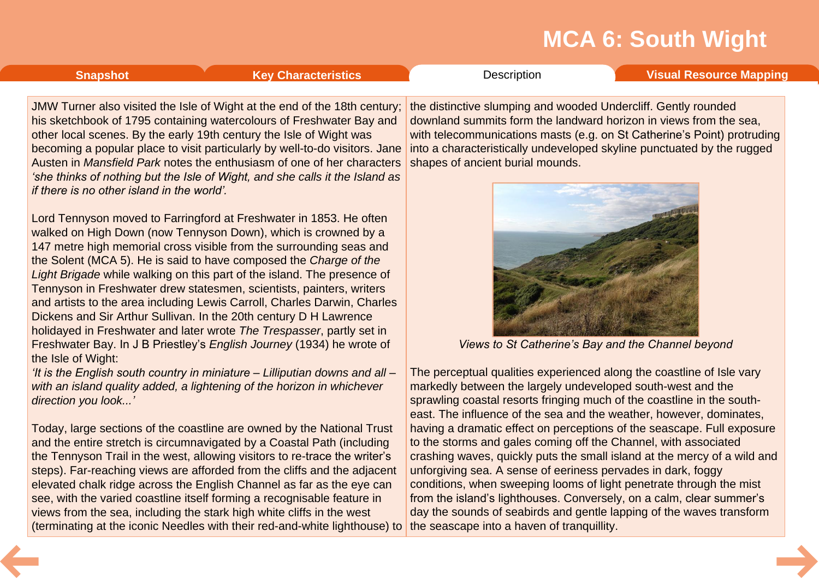### <span id="page-7-0"></span>**[Snapshot](#page-1-0) Key [Characteristics](#page-2-0) [Description](#page-3-0) Visual [Resource](#page-8-0) Mapping**

JMW Turner also visited the Isle of Wight at the end of the 18th century; his sketchbook of 1795 containing watercolours of Freshwater Bay and other local scenes. By the early 19th century the Isle of Wight was becoming a popular place to visit particularly by well-to-do visitors. Jane Austen in *Mansfield Park* notes the enthusiasm of one of her characters *'she thinks of nothing but the Isle of Wight, and she calls it the Island as if there is no other island in the world'.*

Lord Tennyson moved to Farringford at Freshwater in 1853. He often walked on High Down (now Tennyson Down), which is crowned by a 147 metre high memorial cross visible from the surrounding seas and the Solent (MCA 5). He is said to have composed the *Charge of the Light Brigade* while walking on this part of the island. The presence of Tennyson in Freshwater drew statesmen, scientists, painters, writers and artists to the area including Lewis Carroll, Charles Darwin, Charles Dickens and Sir Arthur Sullivan. In the 20th century D H Lawrence holidayed in Freshwater and later wrote *The Trespasser*, partly set in Freshwater Bay. In J B Priestley's *English Journey* (1934) he wrote of the Isle of Wight:

*'It is the English south country in miniature – Lilliputian downs and all – with an island quality added, a lightening of the horizon in whichever direction you look...'*

Today, large sections of the coastline are owned by the National Trust and the entire stretch is circumnavigated by a Coastal Path (including the Tennyson Trail in the west, allowing visitors to re-trace the writer's steps). Far-reaching views are afforded from the cliffs and the adjacent elevated chalk ridge across the English Channel as far as the eye can see, with the varied coastline itself forming a recognisable feature in views from the sea, including the stark high white cliffs in the west (terminating at the iconic Needles with their red-and-white lighthouse) to

the distinctive slumping and wooded Undercliff. Gently rounded downland summits form the landward horizon in views from the sea, with telecommunications masts (e.g. on St Catherine's Point) protruding into a characteristically undeveloped skyline punctuated by the rugged shapes of ancient burial mounds.



*Views to St Catherine's Bay and the Channel beyond*

The perceptual qualities experienced along the coastline of Isle vary markedly between the largely undeveloped south-west and the sprawling coastal resorts fringing much of the coastline in the south east. The influence of the sea and the weather, however, dominates, having a dramatic effect on perceptions of the seascape. Full exposure to the storms and gales coming off the Channel, with associated crashing waves, quickly puts the small island at the mercy of a wild and unforgiving sea. A sense of eeriness pervades in dark, foggy conditions, when sweeping looms of light penetrate through the mist from the island's lighthouses. Conversely, on a calm, clear summer's day the sounds of seabirds and gentle lapping of the waves transform the seascape into a haven of tranquillity.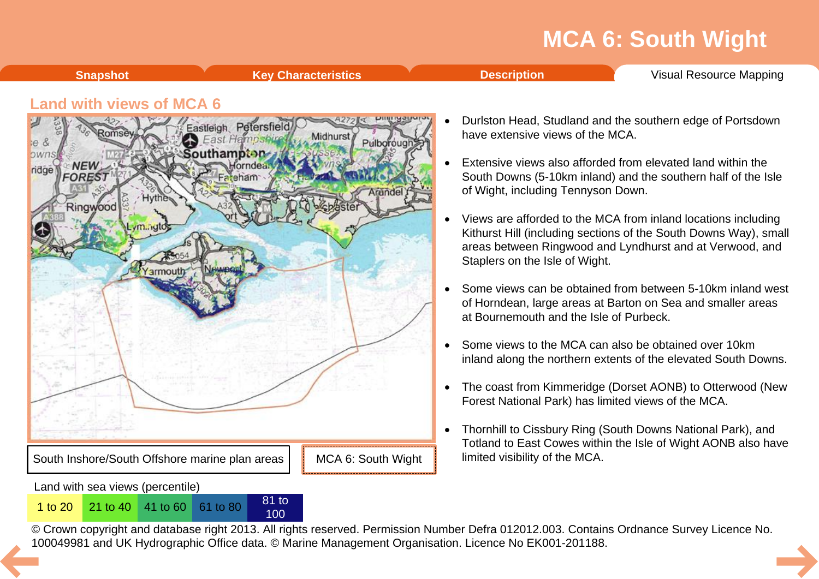**[Snapshot](#page-1-0) Key [Characteristics](#page-2-0) [Description](#page-3-0)** Visual [Resource](#page-8-0) Mapping

### <span id="page-8-0"></span>**Land with views of MCA 6**



100

- Durlston Head, Studland and the southern edge of Portsdown have extensive views of the MCA.
- Extensive views also afforded from elevated land within the South Downs (5-10km inland) and the southern half of the Isle of Wight, including Tennyson Down.
- · Views are afforded to the MCA from inland locations including Kithurst Hill (including sections of the South Downs Way), small areas between Ringwood and Lyndhurst and at Verwood, and Staplers on the Isle of Wight.
- · Some views can be obtained from between 5-10km inland west of Horndean, large areas at Barton on Sea and smaller areas at Bournemouth and the Isle of Purbeck.
- Some views to the MCA can also be obtained over 10km inland along the northern extents of the elevated South Downs.
- The coast from Kimmeridge (Dorset AONB) to Otterwood (New Forest National Park) has limited views of the MCA.
- · Thornhill to Cissbury Ring (South Downs National Park), and Totland to East Cowes within the Isle of Wight AONB also have limited visibility of the MCA.

© Crown copyright and database right 2013. All rights reserved. Permission Number Defra 012012.003. Contains Ordnance Survey Licence No. 1 to 20<sup>21</sup> to 40<sup>41</sup> to 60<sup>61</sup> to 80<sup>81</sup> to 80<sup>81</sup> to 80<sup>81</sup> to [10](#page-7-0)0<br>© Crown copyright and database right 2013. All rights reserved. Permission Number Defra 012012.003. Contain<br>100049981 and UK Hydrographic Office data. ©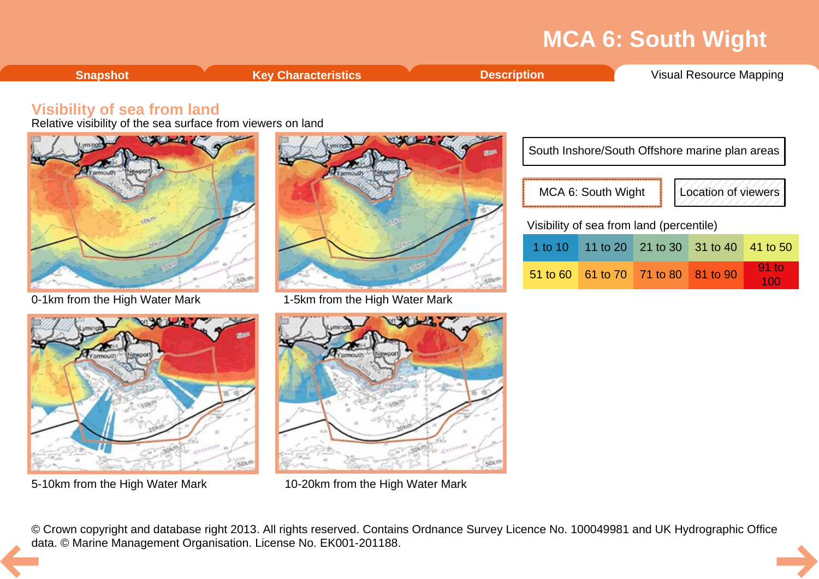<span id="page-9-0"></span>

|  | .<br>' Resource<br>Visual<br>apping |
|--|-------------------------------------|
|  |                                     |

### **Visibility of sea from land**

Relative visibility of the sea surface from viewers on land







0-1km from the High Water Mark 1-5km from the High Water Mark



5-10km from the High Water Mark 10-20km from the High Water Mark

| South Inshore/South Offshore marine plan areas |                                          |  |                     |          |  |  |  |  |
|------------------------------------------------|------------------------------------------|--|---------------------|----------|--|--|--|--|
|                                                | MCA 6: South Wight                       |  | Location of viewers |          |  |  |  |  |
| Visibility of sea from land (percentile)       |                                          |  |                     |          |  |  |  |  |
|                                                | 1 to 10   11 to 20   21 to 30   31 to 40 |  |                     | 41 to 50 |  |  |  |  |
|                                                | 51 to 60 61 to 70 71 to 80 81 to 90      |  |                     | $91$ to  |  |  |  |  |

© Crown copyright and database right 2013. All rights reserved. Contains Ordnance Survey Licence No. 100049981 and UK Hydrographic Office [da](#page-8-0)ta. © Marine Management Organisation. License No. EK001-201188.